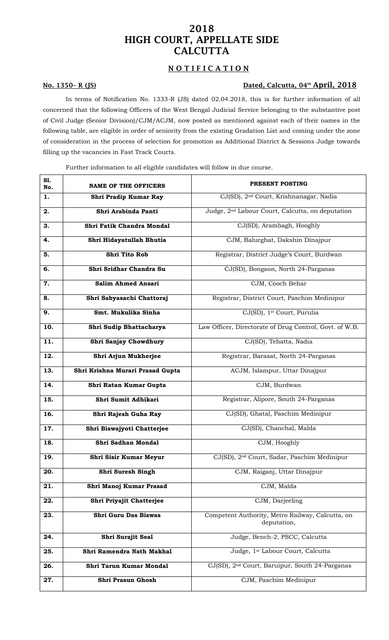## 2018 HIGH COURT, APPELLATE SIDE **CALCUTTA**

## NOTIFICATION

### No. 1350– R (JS) Dated, Calcutta, 04 th April, 2018

In terms of Notification No. 1333-R (JS) dated 02.04.2018, this is for further information of all concerned that the following Officers of the West Bengal Judicial Service belonging to the substantive post of Civil Judge (Senior Division)/CJM/ACJM, now posted as mentioned against each of their names in the following table, are eligible in order of seniority from the existing Gradation List and coming under the zone of consideration in the process of selection for promotion as Additional District & Sessions Judge towards filling up the vacancies in Fast Track Courts.

Further information to all eligible candidates will follow in due course.

| S1.<br>No. | <b>NAME OF THE OFFICERS</b>      | PRESENT POSTING                                                 |
|------------|----------------------------------|-----------------------------------------------------------------|
| 1.         | Shri Pradip Kumar Ray            | CJ(SD), 2 <sup>nd</sup> Court, Krishnanagar, Nadia              |
| 2.         | Shri Arabinda Panti              | Judge, 2 <sup>nd</sup> Labour Court, Calcutta, on deputation    |
| 3.         | Shri Fatik Chandra Mondal        | CJ(SD), Arambagh, Hooghly                                       |
| 4.         | Shri Hidayatullah Bhutia         | CJM, Balurghat, Dakshin Dinajpur                                |
| 5.         | <b>Shri Tito Rob</b>             | Registrar, District Judge's Court, Burdwan                      |
| 6.         | Shri Sridhar Chandra Su          | CJ(SD), Bongaon, North 24-Parganas                              |
| 7.         | <b>Salim Ahmed Ansari</b>        | CJM, Cooch Behar                                                |
| 8.         | Shri Sabyasachi Chattoraj        | Registrar, District Court, Paschim Medinipur                    |
| 9.         | Smt. Mukulika Sinha              | CJ(SD), 1 <sup>st</sup> Court, Purulia                          |
| 10.        | Shri Sudip Bhattacharya          | Law Officer, Directorate of Drug Control, Govt. of W.B.         |
| 11.        | Shri Sanjay Chowdhury            | CJ(SD), Tehatta, Nadia                                          |
| 12.        | Shri Arjun Mukherjee             | Registrar, Barasat, North 24-Parganas                           |
| 13.        | Shri Krishna Murari Prasad Gupta | ACJM, Islampur, Uttar Dinajpur                                  |
| 14.        | Shri Ratan Kumar Gupta           | CJM, Burdwan                                                    |
| 15.        | Shri Sumit Adhikari              | Registrar, Alipore, South 24-Parganas                           |
| 16.        | Shri Rajesh Guha Ray             | CJ(SD), Ghatal, Paschim Medinipur                               |
| 17.        | Shri Biswajyoti Chatterjee       | CJ(SD), Chanchal, Malda                                         |
| 18.        | Shri Sadhan Mondal               | CJM, Hooghly                                                    |
| 19.        | Shri Sisir Kumar Meyur           | CJ(SD), 2 <sup>nd</sup> Court, Sadar, Paschim Medinipur         |
| 20.        | Shri Suresh Singh                | CJM, Raiganj, Uttar Dinajpur                                    |
| 21.        | Shri Manoj Kumar Prasad          | CJM, Malda                                                      |
| 22.        | Shri Priyajit Chatterjee         | CJM, Darjeeling                                                 |
| 23.        | Shri Guru Das Biswas             | Competent Authority, Metro Railway, Calcutta, on<br>deputation, |
| 24.        | Shri Surajit Seal                | Judge, Bench-2, PSCC, Calcutta                                  |
| 25.        | Shri Ramendra Nath Makhal        | Judge, 1 <sup>st</sup> Labour Court, Calcutta                   |
| 26.        | Shri Tarun Kumar Mondal          | CJ(SD), 2 <sup>nd</sup> Court, Baruipur, South 24-Parganas      |
| 27.        | Shri Prasun Ghosh                | CJM, Paschim Medinipur                                          |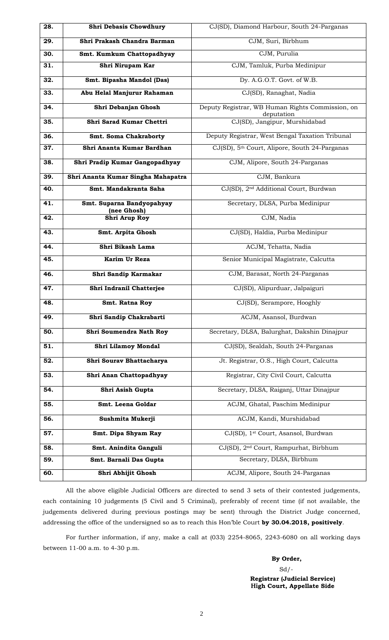| 28. | Shri Debasis Chowdhury                   | CJ(SD), Diamond Harbour, South 24-Parganas                     |
|-----|------------------------------------------|----------------------------------------------------------------|
| 29. | Shri Prakash Chandra Barman              | CJM, Suri, Birbhum                                             |
| 30. | Smt. Kumkum Chattopadhyay                | CJM, Purulia                                                   |
| 31. | Shri Nirupam Kar                         | CJM, Tamluk, Purba Medinipur                                   |
| 32. | Smt. Bipasha Mandol (Das)                | Dy. A.G.O.T. Govt. of W.B.                                     |
| 33. | Abu Helal Manjurur Rahaman               | CJ(SD), Ranaghat, Nadia                                        |
| 34. | Shri Debanjan Ghosh                      | Deputy Registrar, WB Human Rights Commission, on<br>deputation |
| 35. | Shri Sarad Kumar Chettri                 | CJ(SD), Jangipur, Murshidabad                                  |
| 36. | Smt. Soma Chakraborty                    | Deputy Registrar, West Bengal Taxation Tribunal                |
| 37. | Shri Ananta Kumar Bardhan                | CJ(SD), 5 <sup>th</sup> Court, Alipore, South 24-Parganas      |
| 38. | Shri Pradip Kumar Gangopadhyay           | CJM, Alipore, South 24-Parganas                                |
| 39. | Shri Ananta Kumar Singha Mahapatra       | CJM, Bankura                                                   |
| 40. | Smt. Mandakranta Saha                    | CJ(SD), 2 <sup>nd</sup> Additional Court, Burdwan              |
| 41. | Smt. Suparna Bandyopahyay<br>(nee Ghosh) | Secretary, DLSA, Purba Medinipur                               |
| 42. | Shri Arup Roy                            | CJM, Nadia                                                     |
| 43. | Smt. Arpita Ghosh                        | CJ(SD), Haldia, Purba Medinipur                                |
| 44. | Shri Bikash Lama                         | ACJM, Tehatta, Nadia                                           |
| 45. | Karim Ur Reza                            | Senior Municipal Magistrate, Calcutta                          |
| 46. | Shri Sandip Karmakar                     | CJM, Barasat, North 24-Parganas                                |
| 47. | Shri Indranil Chatterjee                 | CJ(SD), Alipurduar, Jalpaiguri                                 |
| 48. | <b>Smt. Ratna Roy</b>                    | CJ(SD), Serampore, Hooghly                                     |
| 49. | Shri Sandip Chakrabarti                  | ACJM, Asansol, Burdwan                                         |
| 50. | Shri Soumendra Nath Roy                  | Secretary, DLSA, Balurghat, Dakshin Dinajpur                   |
| 51. | Shri Lilamoy Mondal                      | CJ(SD), Sealdah, South 24-Parganas                             |
| 52. | Shri Sourav Bhattacharya                 | Jt. Registrar, O.S., High Court, Calcutta                      |
| 53. | Shri Anan Chattopadhyay                  | Registrar, City Civil Court, Calcutta                          |
| 54. | Shri Asish Gupta                         | Secretary, DLSA, Raiganj, Uttar Dinajpur                       |
| 55. | Smt. Leena Goldar                        | ACJM, Ghatal, Paschim Medinipur                                |
| 56. | Sushmita Mukerji                         | ACJM, Kandi, Murshidabad                                       |
| 57. | Smt. Dipa Shyam Ray                      | CJ(SD), 1 <sup>st</sup> Court, Asansol, Burdwan                |
| 58. | Smt. Anindita Ganguli                    | CJ(SD), 2 <sup>nd</sup> Court, Rampurhat, Birbhum              |
| 59. | Smt. Barnali Das Gupta                   | Secretary, DLSA, Birbhum                                       |
| 60. | Shri Abhijit Ghosh                       | ACJM, Alipore, South 24-Parganas                               |

All the above eligible Judicial Officers are directed to send 3 sets of their contested judgements, each containing 10 judgements (5 Civil and 5 Criminal), preferably of recent time (if not available, the judgements delivered during previous postings may be sent) through the District Judge concerned, addressing the office of the undersigned so as to reach this Hon'ble Court **by 30.04.2018, positively**.

For further information, if any, make a call at (033) 2254-8065, 2243-6080 on all working days between 11-00 a.m. to 4-30 p.m.

**By Order,**  $Sd/$ **Registrar (Judicial Service)** Hi**gh Court, Appellate Side**